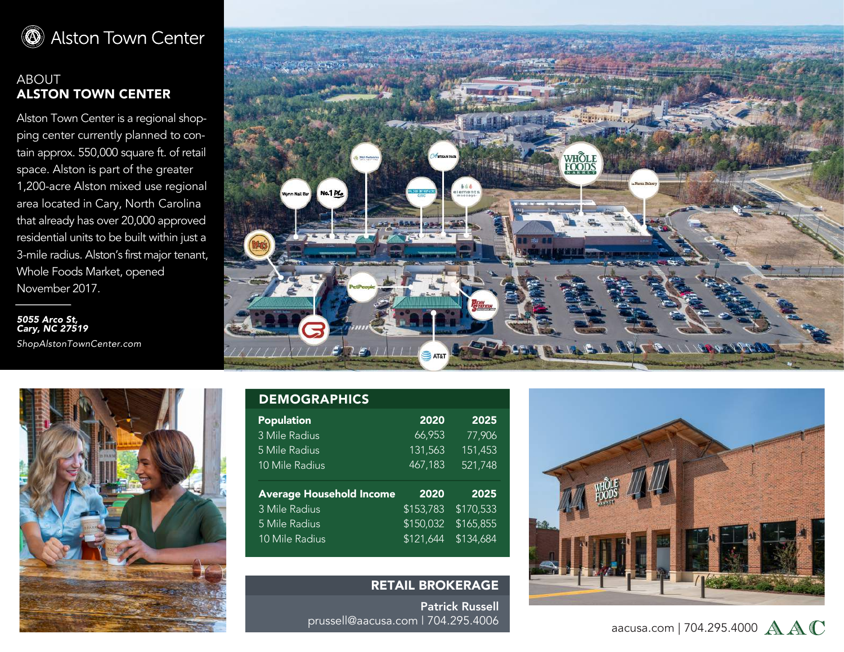

## ABOUT ALSTON TOWN CENTER

Alston Town Center is a regional shopping center currently planned to contain approx. 550,000 square ft. of retail space. Alston is part of the greater 1,200-acre Alston mixed use regional area located in Cary, North Carolina that already has over 20,000 approved residential units to be built within just a 3-mile radius. Alston's first major tenant, Whole Foods Market, opened November 2017.

*5055 Arco St, Cary, NC 27519 ShopAlstonTownCenter.com*





| <b>Population</b>               | 2020      | 2025      |
|---------------------------------|-----------|-----------|
| 3 Mile Radius                   | 66,953    | 77,906    |
| 5 Mile Radius                   | 131,563   | 151,453   |
| 10 Mile Radius                  | 467,183   | 521,748   |
|                                 |           |           |
|                                 |           |           |
| <b>Average Household Income</b> | 2020      | 2025      |
| 3 Mile Radius                   | \$153,783 | \$170,533 |
| 5 Mile Radius                   | \$150,032 | \$165,855 |
| 10 Mile Radius                  | \$121,644 | \$134,684 |

**DEMOGRAPHICS** 

## RETAIL BROKERAGE

Patrick Russell prussell@aacusa.com | 704.295.4006



aacusa.com | 704.295.4000  $A A C$